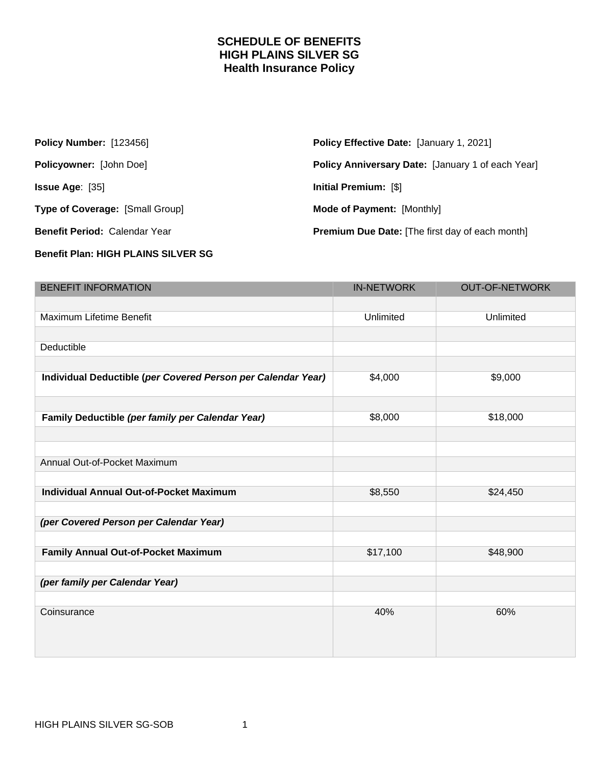## **SCHEDULE OF BENEFITS HIGH PLAINS SILVER SG Health Insurance Policy**

| <b>Policy Number: [123456]</b>         | <b>Policy Effective Date: [January 1, 2021]</b>        |
|----------------------------------------|--------------------------------------------------------|
| <b>Policyowner: [John Doe]</b>         | Policy Anniversary Date: [January 1 of each Year]      |
| <b>Issue Age:</b> $[35]$               | Initial Premium: [\$]                                  |
| <b>Type of Coverage: [Small Group]</b> | <b>Mode of Payment: [Monthly]</b>                      |
| Benefit Period: Calendar Year          | <b>Premium Due Date:</b> [The first day of each month] |
|                                        |                                                        |

## **Benefit Plan: HIGH PLAINS SILVER SG**

| <b>BENEFIT INFORMATION</b>                                   | <b>IN-NETWORK</b> | <b>OUT-OF-NETWORK</b> |
|--------------------------------------------------------------|-------------------|-----------------------|
|                                                              |                   |                       |
| Maximum Lifetime Benefit                                     | Unlimited         | Unlimited             |
|                                                              |                   |                       |
| Deductible                                                   |                   |                       |
|                                                              |                   |                       |
| Individual Deductible (per Covered Person per Calendar Year) | \$4,000           | \$9,000               |
|                                                              |                   |                       |
| Family Deductible (per family per Calendar Year)             | \$8,000           | \$18,000              |
|                                                              |                   |                       |
|                                                              |                   |                       |
| Annual Out-of-Pocket Maximum                                 |                   |                       |
|                                                              |                   |                       |
| <b>Individual Annual Out-of-Pocket Maximum</b>               | \$8,550           | \$24,450              |
|                                                              |                   |                       |
| (per Covered Person per Calendar Year)                       |                   |                       |
|                                                              |                   |                       |
| Family Annual Out-of-Pocket Maximum                          | \$17,100          | \$48,900              |
|                                                              |                   |                       |
| (per family per Calendar Year)                               |                   |                       |
|                                                              |                   |                       |
| Coinsurance                                                  | 40%               | 60%                   |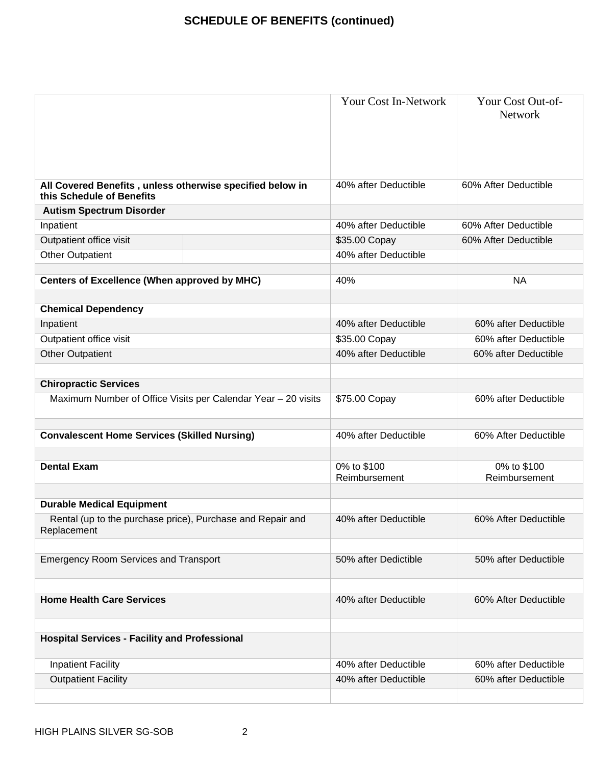## **SCHEDULE OF BENEFITS (continued)**

|                                                                                               | <b>Your Cost In-Network</b>  | Your Cost Out-of-<br>Network |
|-----------------------------------------------------------------------------------------------|------------------------------|------------------------------|
| All Covered Benefits, unless otherwise specified below in<br>this Schedule of Benefits        | 40% after Deductible         | 60% After Deductible         |
| <b>Autism Spectrum Disorder</b>                                                               |                              |                              |
| Inpatient                                                                                     | 40% after Deductible         | 60% After Deductible         |
| Outpatient office visit                                                                       | \$35.00 Copay                | 60% After Deductible         |
| <b>Other Outpatient</b>                                                                       | 40% after Deductible         |                              |
| <b>Centers of Excellence (When approved by MHC)</b>                                           | 40%                          | <b>NA</b>                    |
| <b>Chemical Dependency</b>                                                                    |                              |                              |
| Inpatient                                                                                     | 40% after Deductible         | 60% after Deductible         |
| Outpatient office visit                                                                       | \$35.00 Copay                | 60% after Deductible         |
| <b>Other Outpatient</b>                                                                       | 40% after Deductible         | 60% after Deductible         |
| <b>Chiropractic Services</b><br>Maximum Number of Office Visits per Calendar Year - 20 visits | \$75.00 Copay                | 60% after Deductible         |
| <b>Convalescent Home Services (Skilled Nursing)</b>                                           | 40% after Deductible         | 60% After Deductible         |
| <b>Dental Exam</b>                                                                            | 0% to \$100<br>Reimbursement | 0% to \$100<br>Reimbursement |
| <b>Durable Medical Equipment</b>                                                              |                              |                              |
| Rental (up to the purchase price), Purchase and Repair and<br>Replacement                     | 40% after Deductible         | 60% After Deductible         |
| <b>Emergency Room Services and Transport</b>                                                  | 50% after Dedictible         | 50% after Deductible         |
| <b>Home Health Care Services</b>                                                              | 40% after Deductible         | 60% After Deductible         |
| <b>Hospital Services - Facility and Professional</b>                                          |                              |                              |
| <b>Inpatient Facility</b>                                                                     | 40% after Deductible         | 60% after Deductible         |
| <b>Outpatient Facility</b>                                                                    | 40% after Deductible         | 60% after Deductible         |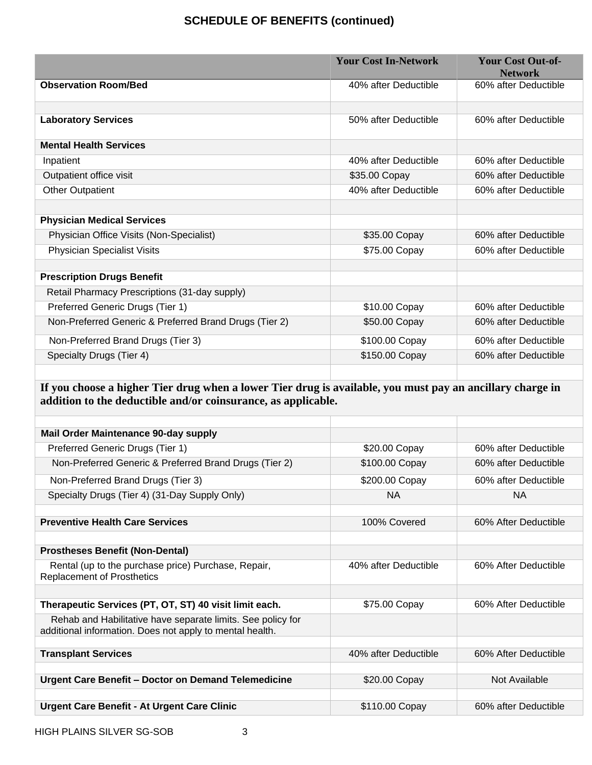## **SCHEDULE OF BENEFITS (continued)**

|                                                        | <b>Your Cost In-Network</b> | <b>Your Cost Out-of-</b><br><b>Network</b> |
|--------------------------------------------------------|-----------------------------|--------------------------------------------|
| <b>Observation Room/Bed</b>                            | 40% after Deductible        | 60% after Deductible                       |
|                                                        |                             |                                            |
| <b>Laboratory Services</b>                             | 50% after Deductible        | 60% after Deductible                       |
| <b>Mental Health Services</b>                          |                             |                                            |
| Inpatient                                              | 40% after Deductible        | 60% after Deductible                       |
| Outpatient office visit                                | \$35.00 Copay               | 60% after Deductible                       |
| <b>Other Outpatient</b>                                | 40% after Deductible        | 60% after Deductible                       |
|                                                        |                             |                                            |
| <b>Physician Medical Services</b>                      |                             |                                            |
| Physician Office Visits (Non-Specialist)               | \$35.00 Copay               | 60% after Deductible                       |
| <b>Physician Specialist Visits</b>                     | \$75.00 Copay               | 60% after Deductible                       |
|                                                        |                             |                                            |
| <b>Prescription Drugs Benefit</b>                      |                             |                                            |
| Retail Pharmacy Prescriptions (31-day supply)          |                             |                                            |
| Preferred Generic Drugs (Tier 1)                       | \$10.00 Copay               | 60% after Deductible                       |
| Non-Preferred Generic & Preferred Brand Drugs (Tier 2) | \$50.00 Copay               | 60% after Deductible                       |
| Non-Preferred Brand Drugs (Tier 3)                     | \$100.00 Copay              | 60% after Deductible                       |
| Specialty Drugs (Tier 4)                               | \$150.00 Copay              | 60% after Deductible                       |
|                                                        |                             |                                            |

**If you choose a higher Tier drug when a lower Tier drug is available, you must pay an ancillary charge in addition to the deductible and/or coinsurance, as applicable.**

| <b>Mail Order Maintenance 90-day supply</b>                                                                             |                      |                      |
|-------------------------------------------------------------------------------------------------------------------------|----------------------|----------------------|
| Preferred Generic Drugs (Tier 1)                                                                                        | \$20.00 Copay        | 60% after Deductible |
| Non-Preferred Generic & Preferred Brand Drugs (Tier 2)                                                                  | \$100.00 Copay       | 60% after Deductible |
| Non-Preferred Brand Drugs (Tier 3)                                                                                      | \$200.00 Copay       | 60% after Deductible |
| Specialty Drugs (Tier 4) (31-Day Supply Only)                                                                           | <b>NA</b>            | <b>NA</b>            |
| <b>Preventive Health Care Services</b>                                                                                  | 100% Covered         | 60% After Deductible |
| <b>Prostheses Benefit (Non-Dental)</b>                                                                                  |                      |                      |
| Rental (up to the purchase price) Purchase, Repair,<br><b>Replacement of Prosthetics</b>                                | 40% after Deductible | 60% After Deductible |
| Therapeutic Services (PT, OT, ST) 40 visit limit each.                                                                  | \$75.00 Copay        | 60% After Deductible |
| Rehab and Habilitative have separate limits. See policy for<br>additional information. Does not apply to mental health. |                      |                      |
| <b>Transplant Services</b>                                                                                              | 40% after Deductible | 60% After Deductible |
|                                                                                                                         |                      |                      |
| Urgent Care Benefit - Doctor on Demand Telemedicine                                                                     | \$20.00 Copay        | Not Available        |
| <b>Urgent Care Benefit - At Urgent Care Clinic</b>                                                                      | \$110.00 Copay       | 60% after Deductible |